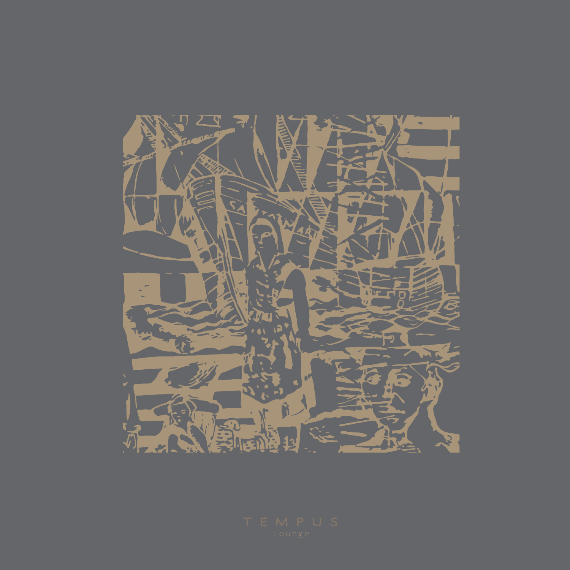

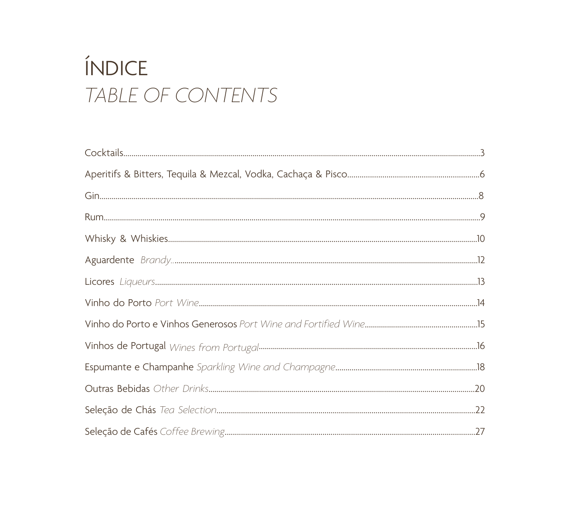# ÍNDICE TABLE OF CONTENTS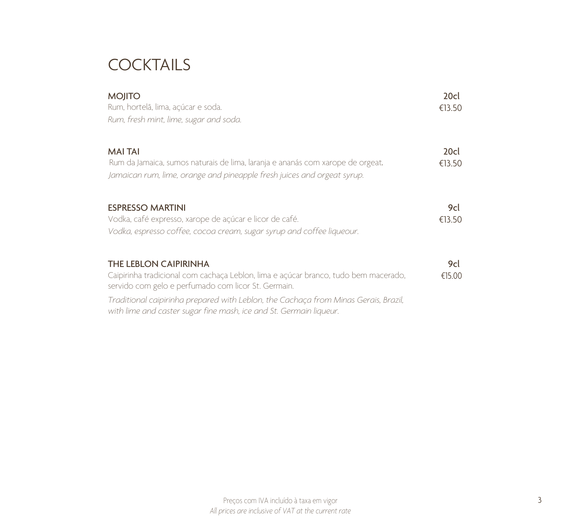### **COCKTAILS**

| <b>MOJITO</b><br>Rum, hortelã, lima, açúcar e soda.<br>Rum, fresh mint, lime, sugar and soda.                                                                               | 20cl<br>€13.50 |
|-----------------------------------------------------------------------------------------------------------------------------------------------------------------------------|----------------|
| <b>MAI TAI</b><br>Rum da Jamaica, sumos naturais de lima, laranja e ananás com xarope de orgeat.<br>Jamaican rum, lime, orange and pineapple fresh juices and orgeat syrup. | 20cl<br>€13.50 |
| <b>ESPRESSO MARTINI</b><br>Vodka, café expresso, xarope de açúcar e licor de café.<br>Vodka, espresso coffee, cocoa cream, sugar syrup and coffee liqueour.                 | 9cl<br>€13.50  |
| <b>THE LEBLON CAIPIRINHA</b><br>Caipirinha tradicional com cachaça Leblon, lima e açúcar branco, tudo bem macerado,<br>servido com gelo e perfumado com licor St. Germain.  | 9cl<br>€15.00  |
| Traditional caipirinha prepared with Leblon, the Cachaça from Minas Gerais, Brazil,<br>with lime and caster sugar fine mash, ice and St. Germain liqueur.                   |                |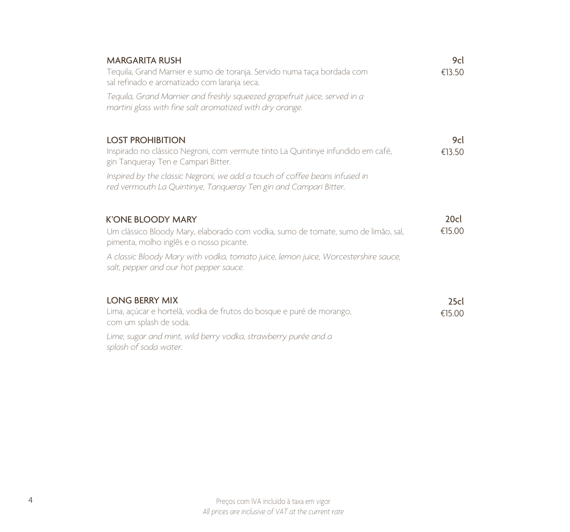| 9cl<br>€13.50 |
|---------------|
|               |
| 9cl<br>€13.50 |
|               |
| 20cl          |
| €15.00        |
|               |
| 25c           |
| €15.00        |
|               |
|               |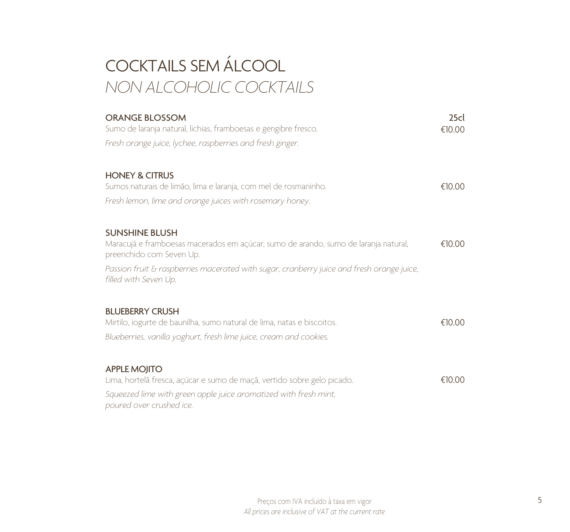# COCKTAILS SEM ÁLCOOL *NON ALCOHOLIC COCKTAILS*

| <b>ORANGE BLOSSOM</b><br>Sumo de laranja natural, lichias, framboesas e gengibre fresco.                           | 25c<br>€10.00 |
|--------------------------------------------------------------------------------------------------------------------|---------------|
| Fresh orange juice, lychee, raspberries and fresh ginger.                                                          |               |
| <b>HONEY &amp; CITRUS</b>                                                                                          | €10.00        |
| Sumos naturais de limão, lima e laranja, com mel de rosmaninho.                                                    |               |
| Fresh lemon, lime and orange juices with rosemary honey.                                                           |               |
| <b>SUNSHINE BLUSH</b>                                                                                              |               |
| Maracujá e framboesas macerados em açúcar, sumo de arando, sumo de laranja natural,<br>preenchido com Seven Up.    | €10.00        |
| Passion fruit & raspberries macerated with sugar, cranberry juice and fresh orange juice,<br>filled with Seven Up. |               |
| <b>BLUEBERRY CRUSH</b>                                                                                             |               |
| Mirtilo, iogurte de baunilha, sumo natural de lima, natas e biscoitos.                                             | €10.00        |
| Blueberries, vanilla yoghurt, fresh lime juice, cream and cookies.                                                 |               |
| <b>APPLE MOJITO</b>                                                                                                |               |
| Lima, hortelã fresca, açúcar e sumo de maçã, vertido sobre gelo picado.                                            | €10.00        |
| Squeezed lime with green apple juice aromatized with fresh mint,<br>poured over crushed ice.                       |               |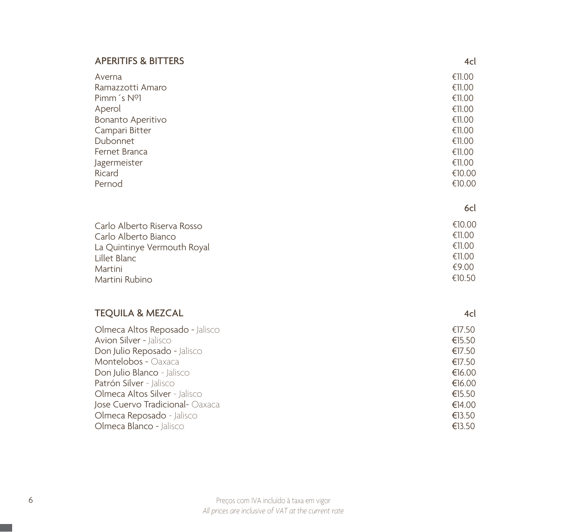#### APERITIFS & BITTERS

| Averna                 | €11.00 |
|------------------------|--------|
| Ramazzotti Amaro       | €11.00 |
| Pimm's N <sup>ol</sup> | €11.00 |
| Aperol                 | €11.00 |
| Bonanto Aperitivo      | €11.00 |
| Campari Bitter         | €11.00 |
| Dubonnet               | €11.00 |
| Fernet Branca          | €11.00 |
| Jagermeister           | €11.00 |
| Ricard                 | €10.00 |
| Pernod                 | €10.00 |

4cl

4cl

| Carlo Alberto Riserva Rosso | €10.00 |
|-----------------------------|--------|
| Carlo Alberto Bianco        | €11.00 |
| La Quintinye Vermouth Royal | €11.00 |
| Lillet Blanc                | €11.00 |
| Martini                     | €9.00  |
| Martini Rubino              | €10.50 |

### TEQUILA & MEZCAL

#### €17.50 €15.50 €17.50 €17.50 €16.00 €16.00 €15.50 €14.00 €13.50 €13.50 Olmeca Altos Reposado - Jalisco Avion Silver - Jalisco Don Julio Reposado - Jalisco Montelobos - Oaxaca Don Julio Blanco - Jalisco Patrón Silver - Jalisco Olmeca Altos Silver - Jalisco Jose Cuervo Tradicional- Oaxaca Olmeca Reposado - Jalisco Olmeca Blanco - Jalisco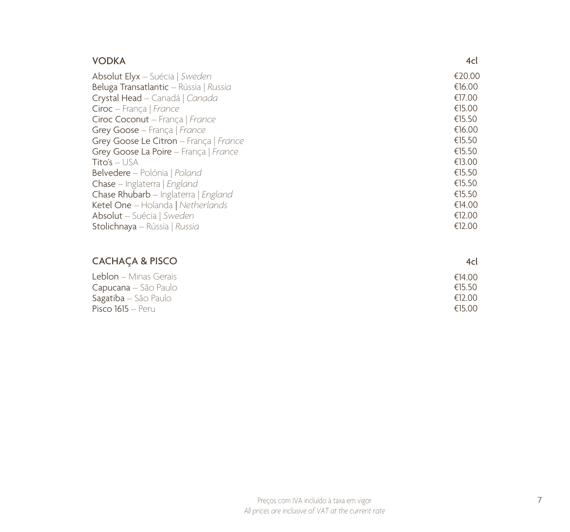| <b>VODKA</b>                           | 4cl    |
|----------------------------------------|--------|
| <b>Absolut Elyx</b> – Suécia   Sweden  | €20.00 |
| Beluga Transatlantic - Rússia   Russia | €16.00 |
| Crystal Head - Canadá   Canada         | €17.00 |
| Ciroc - França   France                | €15.00 |
| Ciroc Coconut - França   France        | €15.50 |
| Grey Goose - França   France           | €16.00 |
| Grey Goose Le Citron - França   France | €15.50 |
| Grey Goose La Poire - França   France  | €15.50 |
| $Tito's - USA$                         | €13.00 |
| Belvedere - Polónia   Poland           | €15.50 |
| Chase - Inglaterra   England           | €15.50 |
| Chase Rhubarb - Inglaterra   England   | €15.50 |
| Ketel One - Holanda   Netherlands      | €14.00 |
| Absolut - Suécia   Sweden              | €12.00 |
| Stolichnaya - Rússia   Russia          | €12.00 |

### CACHAÇA & PISCO

#### Leblon – Minas Gerais Capucana – São Paulo Sagatiba – São Paulo Pisco 1615 – Peru €14.00 €15.50 €12.00 €15.00

4cl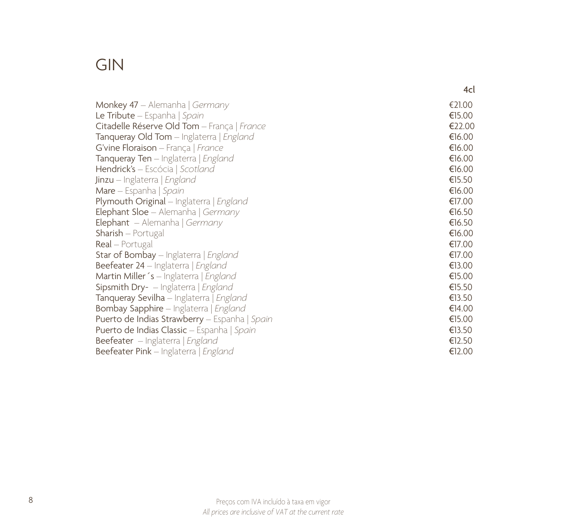### GIN

|                                                | 4cl    |
|------------------------------------------------|--------|
| Monkey $47$ – Alemanha   Germany               | €21.00 |
| <b>Le Tribute</b> – Espanha   Spain            | €15.00 |
| Citadelle Réserve Old Tom - França   France    | €22.00 |
| Tanqueray Old Tom - Inglaterra   England       | €16.00 |
| G'vine Floraison - França   France             | €16.00 |
| Tanqueray Ten - Inglaterra   England           | €16.00 |
| Hendrick's - Escócia   Scotland                | €16.00 |
| <b>Jinzu</b> – Inglaterra   England            | €15.50 |
| Mare - Espanha   Spain                         | €16.00 |
| Plymouth Original - Inglaterra   England       | €17.00 |
| <b>Elephant Sloe</b> - Alemanha   Germany      | €16.50 |
| Elephant - Alemanha   Germany                  | €16.50 |
| <b>Sharish</b> – Portugal                      | €16.00 |
| <b>Real</b> – Portugal                         | €17.00 |
| Star of Bombay - Inglaterra   England          | €17.00 |
| Beefeater 24 – Inglaterra   England            | €13.00 |
| Martin Miller's - Inglaterra   England         | €15.00 |
| Sipsmith Dry- - Inglaterra   England           | €15.50 |
| Tanqueray Sevilha - Inglaterra   England       | €13.50 |
| Bombay Sapphire - Inglaterra   England         | €14.00 |
| Puerto de Indias Strawberry - Espanha   Spain  | €15.00 |
| Puerto de Indias Classic - Espanha   Spain     | €13.50 |
| <b>Beefeater</b> – Inglaterra   <i>England</i> | €12.50 |
| Beefeater Pink - Inglaterra   England          | €12.00 |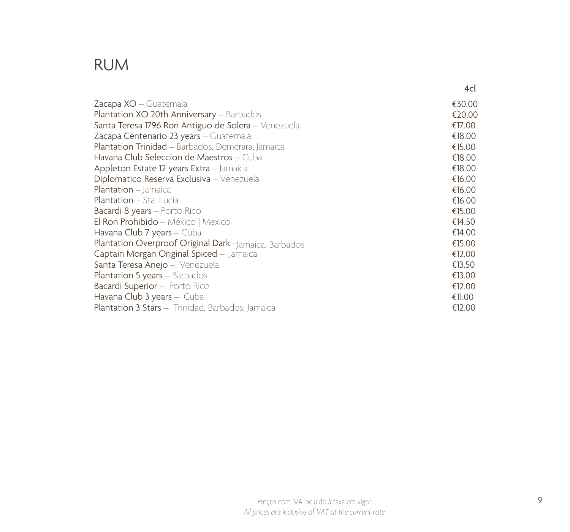### RUM

|                                                       | 4cl    |
|-------------------------------------------------------|--------|
| Zacapa XO - Guatemala                                 | €30.00 |
| Plantation XO 20th Anniversary - Barbados             | €20.00 |
| Santa Teresa 1796 Ron Antiguo de Solera - Venezuela   | €17.00 |
| Zacapa Centenario 23 years - Guatemala                | €18.00 |
| Plantation Trinidad - Barbados, Demerara, Jamaica     | €15.00 |
| Havana Club Seleccion de Maestros – Cuba              | €18.00 |
| Appleton Estate 12 years Extra - Jamaica              | €18.00 |
| Diplomatico Reserva Exclusiva - Venezuela             | €16.00 |
| Plantation - Jamaica                                  | €16.00 |
| <b>Plantation</b> – Sta. Lucia                        | €16.00 |
| Bacardi 8 years - Porto Rico                          | €15.00 |
| El Ron Prohibido - México   Mexico                    | €14.50 |
| Havana Club 7 years – Cuba                            | €14.00 |
| Plantation Overproof Original Dark -Jamaica, Barbados | €15.00 |
| Captain Morgan Original Spiced - Jamaica              | €12.00 |
| Santa Teresa Anejo - Venezuela                        | €13.50 |
| Plantation 5 years - Barbados                         | €13.00 |
| Bacardi Superior - Porto Rico                         | €12.00 |
| Havana Club 3 years - Cuba                            | €11.00 |
| Plantation 3 Stars - Trinidad, Barbados, Jamaica      | €12.00 |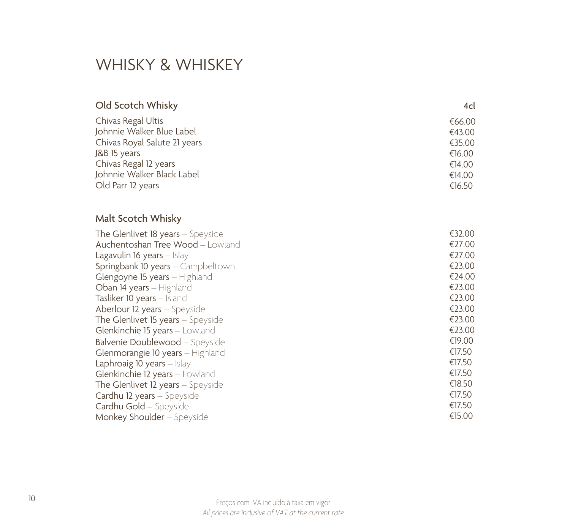### WHISKY & WHISKEY

| Old Scotch Whisky                        | 4cl    |
|------------------------------------------|--------|
| Chivas Regal Ultis                       | €66.00 |
| Johnnie Walker Blue Label                | €43.00 |
| Chivas Royal Salute 21 years             | €35.00 |
| J&B 15 years                             | €16.00 |
| Chivas Regal 12 years                    | €14.00 |
| Johnnie Walker Black Label               | €14.00 |
| Old Parr 12 years                        | €16.50 |
| Malt Scotch Whisky                       |        |
| The Glenlivet 18 years - Speyside        | €32.00 |
| Auchentoshan Tree Wood - Lowland         | €27.00 |
| Lagavulin 16 years - Islay               | €27.00 |
| Springbank 10 years - Campbeltown        | €23.00 |
| Glengoyne 15 years - Highland            | €24.00 |
| Oban 14 years - Highland                 | €23.00 |
| Tasliker 10 years - Island               | €23.00 |
| Aberlour 12 years - Speyside             | €23.00 |
| <b>The Glenlivet 15 years</b> – Speyside | €23.00 |
| Glenkinchie 15 years - Lowland           | €23.00 |
| Balvenie Doublewood - Speyside           | €19.00 |
| Glenmorangie 10 years - Highland         | €17.50 |
| Laphroaig 10 years - Islay               | €17.50 |
| Glenkinchie 12 years - Lowland           | €17.50 |
| The Glenlivet 12 years - Speyside        | €18.50 |
| Cardhu 12 years - Speyside               | €17.50 |
| Cardhu Gold - Speyside                   | €17.50 |
| Monkey Shoulder - Speyside               | €15.00 |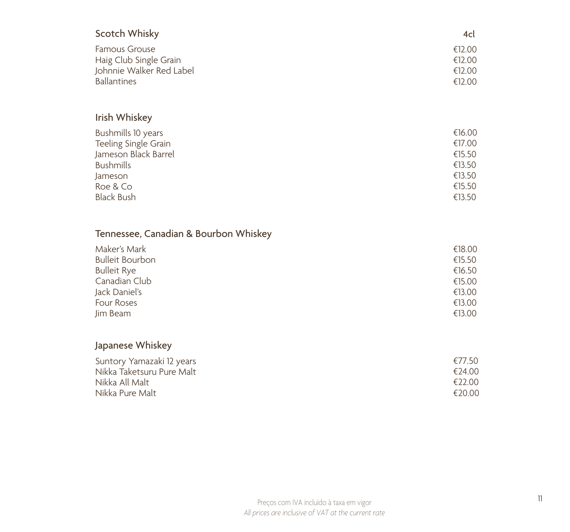| <b>Scotch Whisky</b>                  | 4cl    |
|---------------------------------------|--------|
| <b>Famous Grouse</b>                  | €12.00 |
| Haig Club Single Grain                | €12.00 |
| Johnnie Walker Red Label              | €12.00 |
| <b>Ballantines</b>                    | €12.00 |
| Irish Whiskey                         |        |
| Bushmills 10 years                    | €16.00 |
| Teeling Single Grain                  | €17.00 |
| Jameson Black Barrel                  | €15.50 |
| <b>Bushmills</b>                      | €13.50 |
| Jameson                               | €13.50 |
| Roe & Co                              | €15.50 |
| <b>Black Bush</b>                     | €13.50 |
| Tennessee, Canadian & Bourbon Whiskey |        |
| Maker's Mark                          | €18.00 |
| <b>Bulleit Bourbon</b>                | €15.50 |
| <b>Bulleit Rye</b>                    | €16.50 |
| Canadian Club                         | €15.00 |
| Jack Daniel's                         | €13.00 |
| Four Roses                            | €13.00 |
| Jim Beam                              | €13.00 |
| Japanese Whiskey                      |        |
| Suntory Yamazaki 12 years             | €77.50 |
| Nikka Taketsuru Pure Malt             | €24.00 |
| Nikka All Malt                        | €22.00 |
| Nikka Pure Malt                       | €20.00 |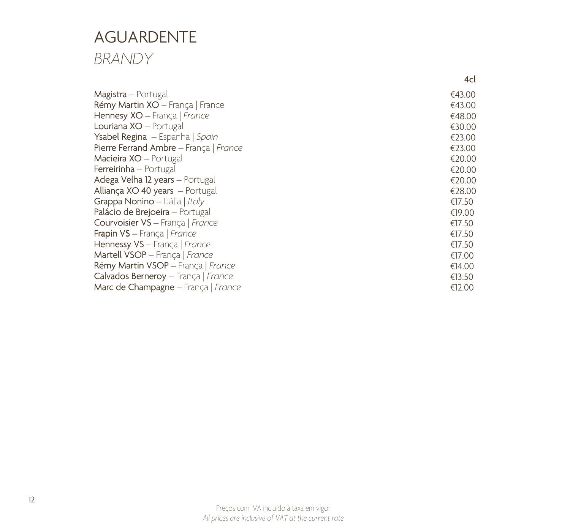### AGUARDENTE *BRANDY*

|                                        | 4cl    |
|----------------------------------------|--------|
| Magistra – Portugal                    | €43.00 |
| Rémy Martin XO - França   France       | €43.00 |
| Hennesy XO - França   France           | €48.00 |
| Louriana XO - Portugal                 | €30.00 |
| Ysabel Regina – Espanha   Spain        | €23.00 |
| Pierre Ferrand Ambre - França   France | €23.00 |
| Macieira XO - Portugal                 | €20.00 |
| Ferreirinha - Portugal                 | €20.00 |
| Adega Velha 12 years - Portugal        | €20.00 |
| Alliança XO 40 years - Portugal        | €28.00 |
| Grappa Nonino - Itália   Italy         | €17.50 |
| Palácio de Brejoeira - Portugal        | €19.00 |
| Courvoisier VS - França   France       | €17.50 |
| Frapin VS - França   France            | €17.50 |
| Hennessy VS - França   France          | €17.50 |
| Martell VSOP - França   France         | €17.00 |
| Rémy Martin VSOP - França   France     | €14.00 |
| Calvados Berneroy - França   France    | €13.50 |
| Marc de Champagne - França   France    | €12.00 |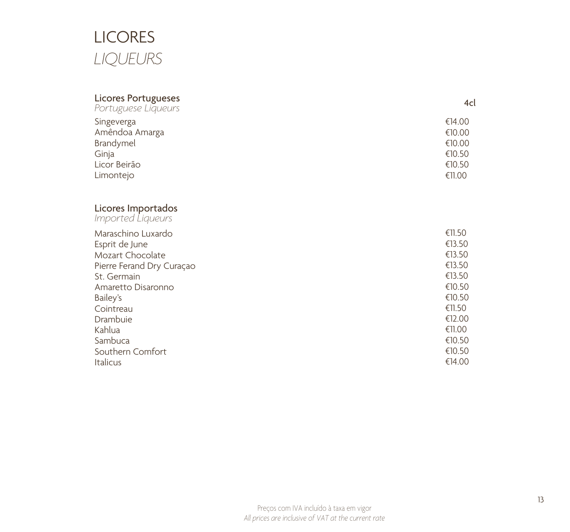## LICORES *LIQUEURS*

| <b>Licores Portugueses</b><br>Portuguese Liqueurs | 4cl    |
|---------------------------------------------------|--------|
| Singeverga                                        | €14.00 |
| Amêndoa Amarga                                    | €10.00 |
| Brandymel                                         | €10.00 |
| Ginja                                             | €10.50 |
| Licor Beirão                                      | €10.50 |
| Limontejo                                         | €11.00 |
| Licores Importados<br>Imported Liqueurs           |        |
| Maraschino Luxardo                                | €11.50 |
| Esprit de June                                    | €13.50 |
| Mozart Chocolate                                  | €13.50 |
| Pierre Ferand Dry Curaçao                         | €13.50 |
| St. Germain                                       | €13.50 |
| Amaretto Disaronno                                | €10.50 |
| Bailey's                                          | €10.50 |
| Cointreau                                         | €11.50 |
| Drambuie                                          | €12.00 |
| Kahlua                                            | €11.00 |
| Sambuca                                           | €10.50 |
| Southern Comfort                                  | €10.50 |
| Italicus                                          | €14.00 |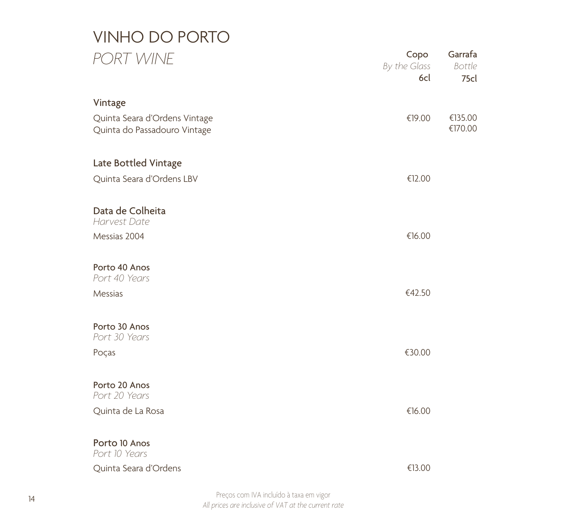## VINHO DO PORTO *PORT WINE*

| PORT WINE                                                     | Copo<br>By the Glass<br>6cl | Garrafa<br>Bottle<br>75cl |
|---------------------------------------------------------------|-----------------------------|---------------------------|
| Vintage                                                       |                             |                           |
| Quinta Seara d'Ordens Vintage<br>Quinta do Passadouro Vintage | €19.00                      | €135.00<br>€170.00        |
| Late Bottled Vintage                                          |                             |                           |
| Quinta Seara d'Ordens LBV                                     | €12.00                      |                           |
| Data de Colheita<br>Harvest Date                              |                             |                           |
| Messias 2004                                                  | €16.00                      |                           |
| Porto 40 Anos<br>Port 40 Years                                |                             |                           |
| Messias                                                       | €42.50                      |                           |
| Porto 30 Anos<br>Port 30 Years                                |                             |                           |
| Poças                                                         | €30.00                      |                           |
| Porto 20 Anos<br>Port 20 Years                                |                             |                           |
| Quinta de La Rosa                                             | €16.00                      |                           |
| Porto 10 Anos<br>Port 10 Years                                |                             |                           |
| Quinta Seara d'Ordens                                         | €13.00                      |                           |

Preços com IVA incluído à taxa em vigor *All prices are inclusive of VAT at the current rate*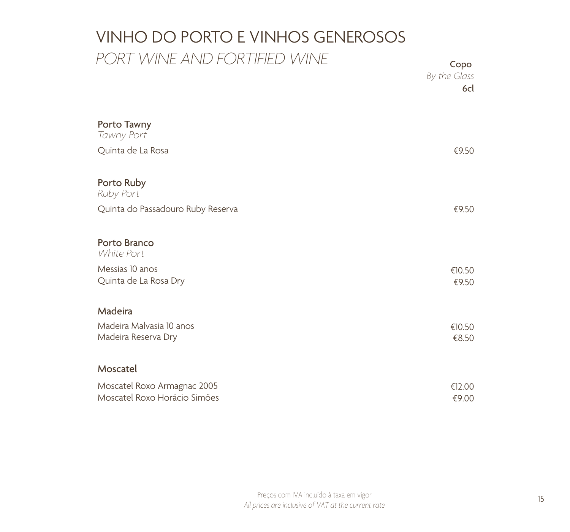## VINHO DO PORTO E VINHOS GENEROSOS *PORT WINE AND FORTIFIED WINE* Copo

|                                                             | By the Glass<br>6cl |
|-------------------------------------------------------------|---------------------|
| Porto Tawny<br>Tawny Port                                   |                     |
| Quinta de La Rosa                                           | €9.50               |
| Porto Ruby<br>Ruby Port                                     |                     |
| Quinta do Passadouro Ruby Reserva                           | €9.50               |
| Porto Branco<br>White Port                                  |                     |
| Messias 10 anos<br>Quinta de La Rosa Dry                    | €10.50<br>€9.50     |
| Madeira                                                     |                     |
| Madeira Malvasia 10 anos<br>Madeira Reserva Dry             | €10.50<br>€8.50     |
| Moscatel                                                    |                     |
| Moscatel Roxo Armagnac 2005<br>Moscatel Roxo Horácio Simões | €12.00<br>€9.00     |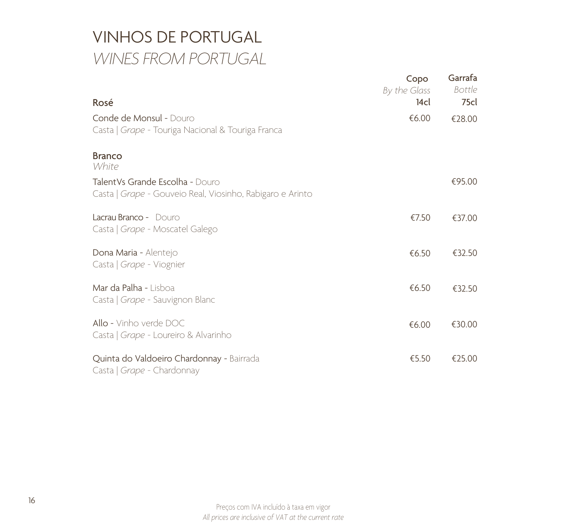### VINHOS DE PORTUGAL *WINES FROM PORTUGAL*

| Rosé                                                                                         | Copo<br>By the Glass<br>14cl | Garrafa<br><b>Bottle</b><br>75cl |
|----------------------------------------------------------------------------------------------|------------------------------|----------------------------------|
| Conde de Monsul - Douro<br>Casta   Grape - Touriga Nacional & Touriga Franca                 | €6.00                        | €28.00                           |
| <b>Branco</b><br>White                                                                       |                              |                                  |
| TalentVs Grande Escolha - Douro<br>Casta   Grape - Gouveio Real, Viosinho, Rabigaro e Arinto |                              | €95.00                           |
| Lacrau Branco - Douro<br>Casta   Grape - Moscatel Galego                                     | €7.50                        | €37.00                           |
| Dona Maria - Alentejo<br>Casta   Grape - Viognier                                            | €6.50                        | €32.50                           |
| Mar da Palha - Lisboa<br>Casta   Grape - Sauvignon Blanc                                     | €6.50                        | €32.50                           |
| Allo - Vinho verde DOC<br>Casta   Grape - Loureiro & Alvarinho                               | €6.00                        | €30.00                           |
| Quinta do Valdoeiro Chardonnay - Bairrada<br>Casta   Grape - Chardonnay                      | €5.50                        | €25.00                           |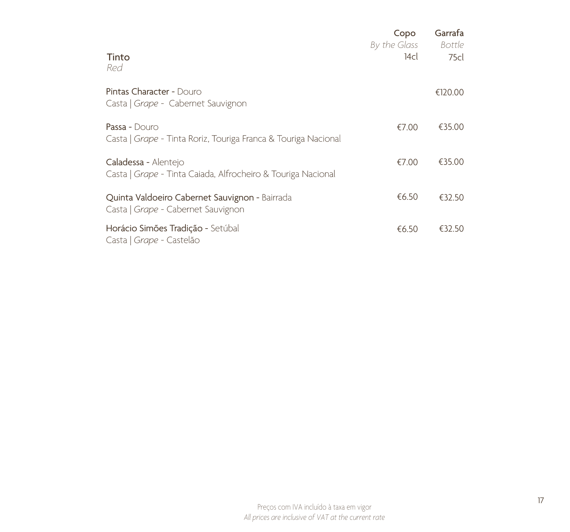|                                                                                      | Copo<br>By the Glass | Garrafa<br><b>Bottle</b> |
|--------------------------------------------------------------------------------------|----------------------|--------------------------|
| Tinto<br>Red                                                                         | 14cl                 | 75cl                     |
| <b>Pintas Character - Douro</b><br>Casta   Grape - Cabernet Sauvignon                |                      | €120.00                  |
| Passa - Douro<br>Casta   Grape - Tinta Roriz, Touriga Franca & Touriga Nacional      | €7.00                | €35.00                   |
| Caladessa - Alentejo<br>Casta   Grape - Tinta Caiada, Alfrocheiro & Touriga Nacional | €7.00                | €35.00                   |
| Quinta Valdoeiro Cabernet Sauvignon - Bairrada<br>Casta   Grape - Cabernet Sauvignon | €6.50                | €32.50                   |
| Horácio Simões Tradição - Setúbal<br>Casta   Grape - Castelão                        | €6.50                | €32.50                   |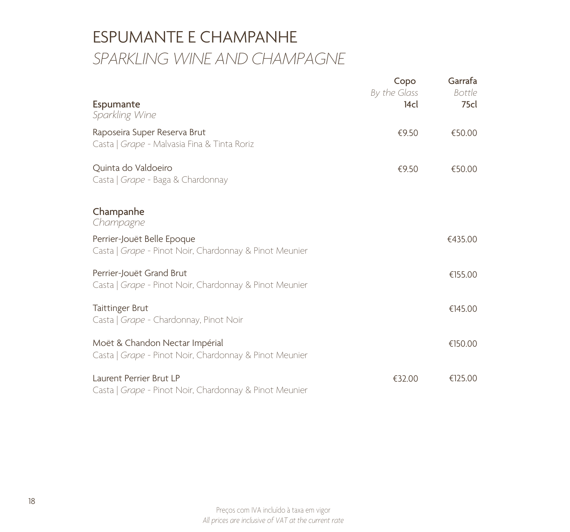### ESPUMANTE E CHAMPANHE *SPARKLING WINE AND CHAMPAGNE*

| Espumante<br>Sparkling Wine                                                              | Copo<br>By the Glass<br>14 <sub>cl</sub> | Garrafa<br><b>Bottle</b><br>75 <sub>cl</sub> |
|------------------------------------------------------------------------------------------|------------------------------------------|----------------------------------------------|
| Raposeira Super Reserva Brut<br>Casta   Grape - Malvasia Fina & Tinta Roriz              | €9.50                                    | €50.00                                       |
| Quinta do Valdoeiro<br>Casta   Grape - Baga & Chardonnay                                 | €9.50                                    | €50.00                                       |
| Champanhe<br>Champagne                                                                   |                                          |                                              |
| Perrier-Jouët Belle Epoque<br>Casta   Grape - Pinot Noir, Chardonnay & Pinot Meunier     |                                          | €435.00                                      |
| Perrier-Jouët Grand Brut<br>Casta   Grape - Pinot Noir, Chardonnay & Pinot Meunier       |                                          | €155.00                                      |
| Taittinger Brut<br>Casta   Grape - Chardonnay, Pinot Noir                                |                                          | €145.00                                      |
| Moët & Chandon Nectar Impérial<br>Casta   Grape - Pinot Noir, Chardonnay & Pinot Meunier |                                          | €150.00                                      |
| Laurent Perrier Brut LP<br>Casta   Grape - Pinot Noir, Chardonnay & Pinot Meunier        | €32.00                                   | €125.00                                      |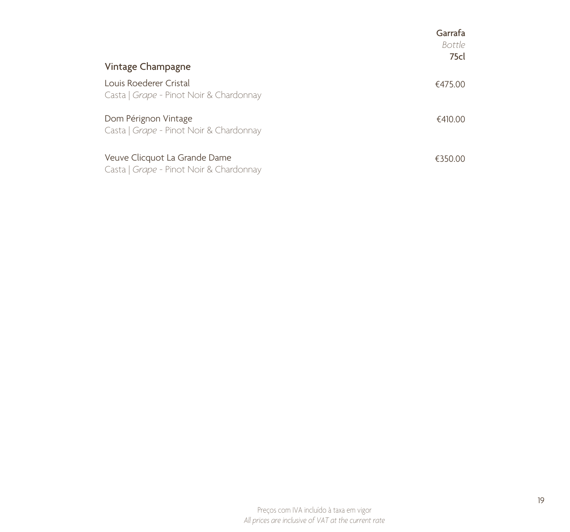| Vintage Champagne                                                        | Garrafa<br>Bottle<br>75cl |
|--------------------------------------------------------------------------|---------------------------|
| Louis Roederer Cristal<br>Casta   Grape - Pinot Noir & Chardonnay        | €475.00                   |
| Dom Pérignon Vintage<br>Casta   Grape - Pinot Noir & Chardonnay          | €410.00                   |
| Veuve Clicquot La Grande Dame<br>Casta   Grape - Pinot Noir & Chardonnay | €350.00                   |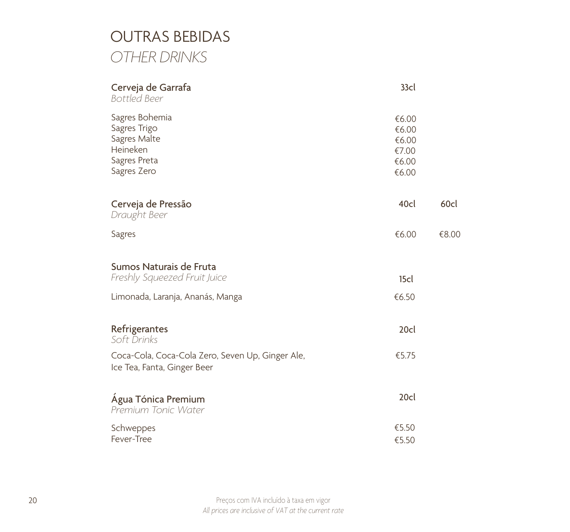### OUTRAS BEBIDAS *OTHER DRINKS*

| Cerveja de Garrafa<br><b>Bottled Beer</b>                                                 | 33cl                                               |       |
|-------------------------------------------------------------------------------------------|----------------------------------------------------|-------|
| Sagres Bohemia<br>Sagres Trigo<br>Sagres Malte<br>Heineken<br>Sagres Preta<br>Sagres Zero | €6.00<br>€6.00<br>€6.00<br>€7.00<br>€6.00<br>€6.00 |       |
| Cerveja de Pressão<br>Draught Beer                                                        | 40cl                                               | 60cl  |
| <b>Sagres</b>                                                                             | €6.00                                              | €8.00 |
| Sumos Naturais de Fruta                                                                   |                                                    |       |
| Freshly Squeezed Fruit Juice                                                              | 15 <sub>cl</sub>                                   |       |
| Limonada, Laranja, Ananás, Manga                                                          | €6.50                                              |       |
| Refrigerantes<br>Soft Drinks                                                              | 20cl                                               |       |
| Coca-Cola, Coca-Cola Zero, Seven Up, Ginger Ale,<br>Ice Tea, Fanta, Ginger Beer           | €5.75                                              |       |
| Água Tónica Premium<br>Premium Tonic Water                                                | 20cl                                               |       |
| Schweppes                                                                                 | €5.50                                              |       |
| Fever-Tree                                                                                | €5.50                                              |       |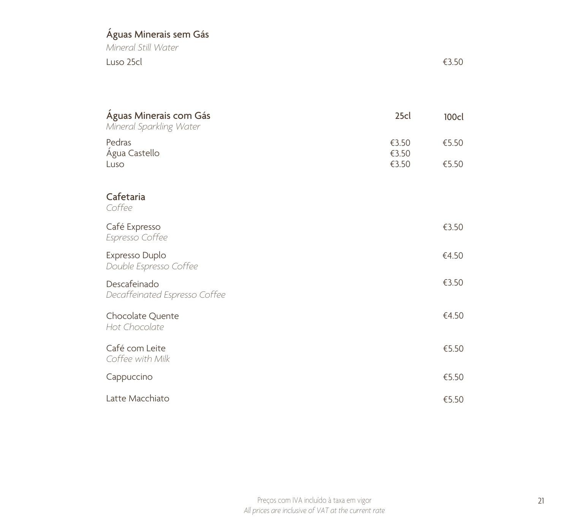### Águas Minerais sem Gás

*Mineral Still Water* Luso 25cl

| Águas Minerais com Gás<br>Mineral Sparkling Water | 25cl                    | 100cl          |
|---------------------------------------------------|-------------------------|----------------|
| Pedras<br>Água Castello<br>Luso                   | €3.50<br>€3.50<br>€3.50 | €5.50<br>€5.50 |
| Cafetaria<br>Coffee                               |                         |                |
| Café Expresso<br>Espresso Coffee                  |                         | €3.50          |
| Expresso Duplo<br>Double Espresso Coffee          |                         | €4.50          |
| Descafeinado<br>Decaffeinated Espresso Coffee     |                         | €3.50          |
| Chocolate Quente<br>Hot Chocolate                 |                         | €4.50          |
| Café com Leite<br>Coffee with Milk                |                         | €5.50          |
| Cappuccino                                        |                         | €5.50          |
| Latte Macchiato                                   |                         | €5.50          |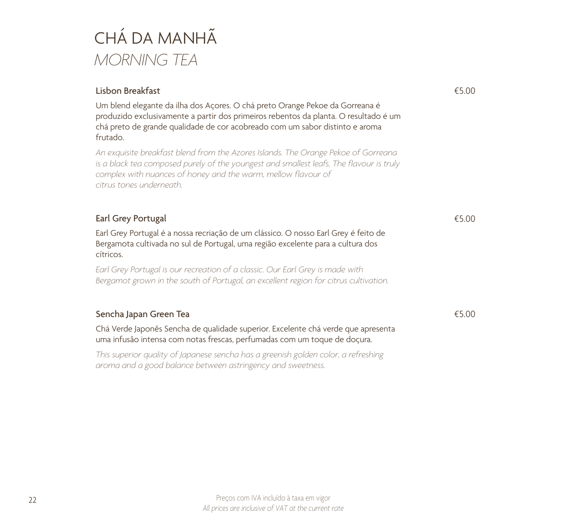# CHÁ DA MANHÃ *MORNING TEA*

| Lisbon Breakfast                                                                                                                                                                                                                                                           | €5.00 |
|----------------------------------------------------------------------------------------------------------------------------------------------------------------------------------------------------------------------------------------------------------------------------|-------|
| Um blend elegante da ilha dos Açores. O chá preto Orange Pekoe da Gorreana é<br>produzido exclusivamente a partir dos primeiros rebentos da planta. O resultado é um<br>chá preto de grande qualidade de cor acobreado com um sabor distinto e aroma<br>frutado.           |       |
| An exquisite breakfast blend from the Azores Islands. The Orange Pekoe of Gorreana<br>is a black tea composed purely of the youngest and smallest leafs. The flavour is truly<br>complex with nuances of honey and the warm, mellow flavour of<br>citrus tones underneath. |       |
| Earl Grey Portugal                                                                                                                                                                                                                                                         | €5.00 |
| Earl Grey Portugal é a nossa recriação de um clássico. O nosso Earl Grey é feito de<br>Bergamota cultivada no sul de Portugal, uma região excelente para a cultura dos<br>cítricos.                                                                                        |       |
| Earl Grey Portugal is our recreation of a classic. Our Earl Grey is made with<br>Bergamot grown in the south of Portugal, an excellent region for citrus cultivation.                                                                                                      |       |
| Sencha Japan Green Tea                                                                                                                                                                                                                                                     | €5.00 |
| Chá Verde Japonês Sencha de qualidade superior. Excelente chá verde que apresenta<br>uma infusão intensa com notas frescas, perfumadas com um toque de doçura.                                                                                                             |       |
| This superior quality of Japanese sencha has a greenish golden color, a refreshing<br>aroma and a good balance between astringency and sweetness.                                                                                                                          |       |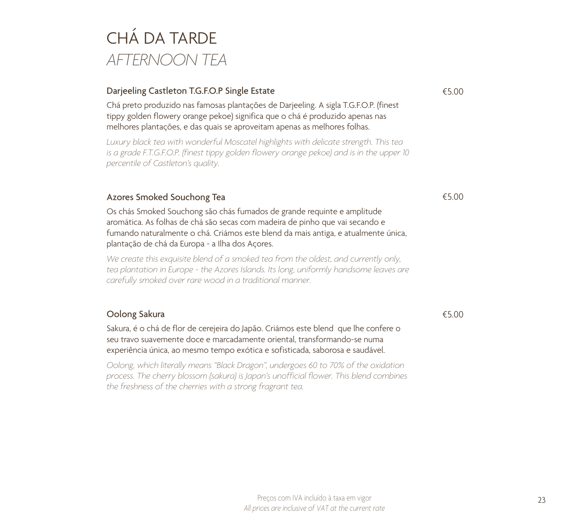# CHÁ DA TARDE *AFTERNOON TEA*

#### Darjeeling Castleton T.G.F.O.P Single Estate

Chá preto produzido nas famosas plantações de Darjeeling. A sigla T.G.F.O.P. (finest tippy golden flowery orange pekoe) significa que o chá é produzido apenas nas melhores plantações, e das quais se aproveitam apenas as melhores folhas.

*Luxury black tea with wonderful Moscatel highlights with delicate strength. This tea*  is a grade F.T.G.F.O.P. (finest tippy golden flowery orange pekoe) and is in the upper 10 *percentile of Castleton's quality.*

#### Azores Smoked Souchong Tea

Os chás Smoked Souchong são chás fumados de grande requinte e amplitude aromática. As folhas de chá são secas com madeira de pinho que vai secando e fumando naturalmente o chá. Criámos este blend da mais antiga, e atualmente única, plantação de chá da Europa - a Ilha dos Açores.

We create this exquisite blend of a smoked tea from the oldest, and currently only, *tea plantation in Europe - the Azores Islands. Its long, uniformly handsome leaves are carefully smoked over rare wood in a traditional manner.* 

#### Oolong Sakura

Sakura, é o chá de flor de cerejeira do Japão. Criámos este blend que lhe confere o seu travo suavemente doce e marcadamente oriental, transformando-se numa experiência única, ao mesmo tempo exótica e sofisticada, saborosa e saudável.

*Oolong, which literally means "Black Dragon", undergoes 60 to 70% of the oxidation process. The cherry blossom (sakura) is Japan's unofficial flower. This blend combines the freshness of the cherries with a strong fragrant tea.* 

€5.00

€5.00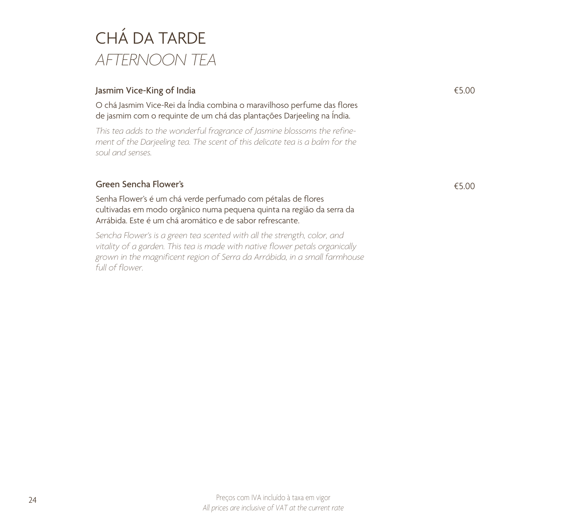# CHÁ DA TARDE *AFTERNOON TEA*

#### Jasmim Vice-King of India

O chá Jasmim Vice-Rei da Índia combina o maravilhoso perfume das flores de jasmim com o requinte de um chá das plantações Darjeeling na Índia.

*This tea adds to the wonderful fragrance of Jasmine blossoms the refinement of the Darjeeling tea. The scent of this delicate tea is a balm for the soul and senses.*

#### Green Sencha Flower's

Senha Flower's é um chá verde perfumado com pétalas de flores cultivadas em modo orgânico numa pequena quinta na região da serra da Arrábida. Este é um chá aromático e de sabor refrescante.

*Sencha Flower's is a green tea scented with all the strength, color, and vitality of a garden. This tea is made with native flower petals organically grown in the magnificent region of Serra da Arrábida, in a small farmhouse full of flower.*

€5.00

€5.00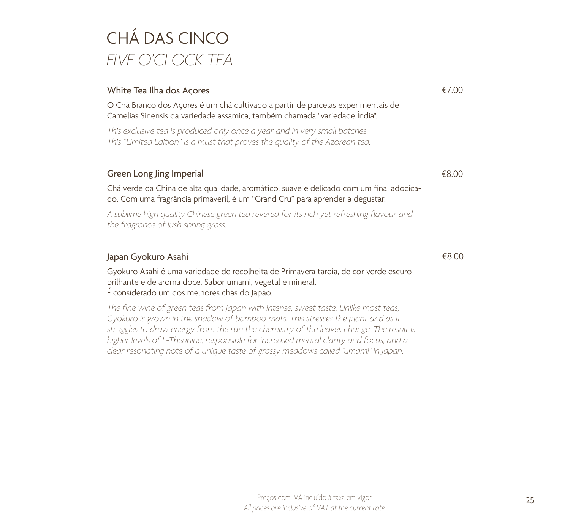# CHÁ DAS CINCO *FIVE O'CLOCK TEA*

#### White Tea Ilha dos Açores

O Chá Branco dos Açores é um chá cultivado a partir de parcelas experimentais de Camelias Sinensis da variedade assamica, também chamada "variedade Índia".

*This exclusive tea is produced only once a year and in very small batches. This "Limited Edition" is a must that proves the quality of the Azorean tea.* 

#### Green Long Jing Imperial

Chá verde da China de alta qualidade, aromático, suave e delicado com um final adocicado. Com uma fragrância primaveril, é um "Grand Cru" para aprender a degustar.

*A sublime high quality Chinese green tea revered for its rich yet refreshing flavour and the fragrance of lush spring grass.*

#### Japan Gyokuro Asahi

Gyokuro Asahi é uma variedade de recolheita de Primavera tardia, de cor verde escuro brilhante e de aroma doce. Sabor umami, vegetal e mineral. É considerado um dos melhores chás do Japão.

*The fine wine of green teas from Japan with intense, sweet taste. Unlike most teas, Gyokuro is grown in the shadow of bamboo mats. This stresses the plant and as it struggles to draw energy from the sun the chemistry of the leaves change. The result is higher levels of L-Theanine, responsible for increased mental clarity and focus, and a clear resonating note of a unique taste of grassy meadows called "umami" in Japan.*

€7.00

€8.00

€8.00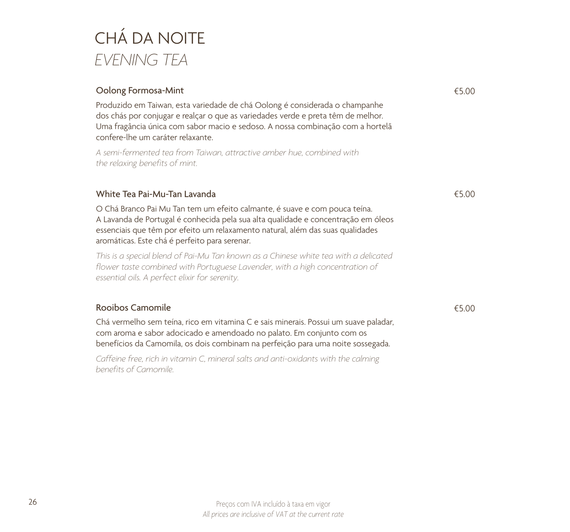# CHÁ DA NOITE *EVENING TEA*

| Oolong Formosa-Mint                                                                                                                                                                                                                                                                                | €5.00 |
|----------------------------------------------------------------------------------------------------------------------------------------------------------------------------------------------------------------------------------------------------------------------------------------------------|-------|
| Produzido em Taiwan, esta variedade de chá Oolong é considerada o champanhe<br>dos chás por conjugar e realçar o que as variedades verde e preta têm de melhor.<br>Uma fragância única com sabor macio e sedoso. A nossa combinação com a hortelã<br>confere-lhe um caráter relaxante.             |       |
| A semi-fermented tea from Taiwan, attractive amber hue, combined with<br>the relaxing benefits of mint.                                                                                                                                                                                            |       |
| White Tea Pai-Mu-Tan Lavanda                                                                                                                                                                                                                                                                       | €5.00 |
| O Chá Branco Pai Mu Tan tem um efeito calmante, é suave e com pouca teína.<br>A Lavanda de Portugal é conhecida pela sua alta qualidade e concentração em óleos<br>essenciais que têm por efeito um relaxamento natural, além das suas qualidades<br>aromáticas. Este chá é perfeito para serenar. |       |
| This is a special blend of Pai-Mu Tan known as a Chinese white tea with a delicated<br>flower taste combined with Portuguese Lavender, with a high concentration of<br>essential oils. A perfect elixir for serenity.                                                                              |       |
| Rooibos Camomile                                                                                                                                                                                                                                                                                   | €5.00 |
| Chá vermelho sem teína, rico em vitamina C e sais minerais. Possui um suave paladar,<br>com aroma e sabor adocicado e amendoado no palato. Em conjunto com os<br>benefícios da Camomila, os dois combinam na perfeição para uma noite sossegada.                                                   |       |
| Caffeine free, rich in vitamin C, mineral salts and anti-oxidants with the calming<br>benefits of Camomile.                                                                                                                                                                                        |       |